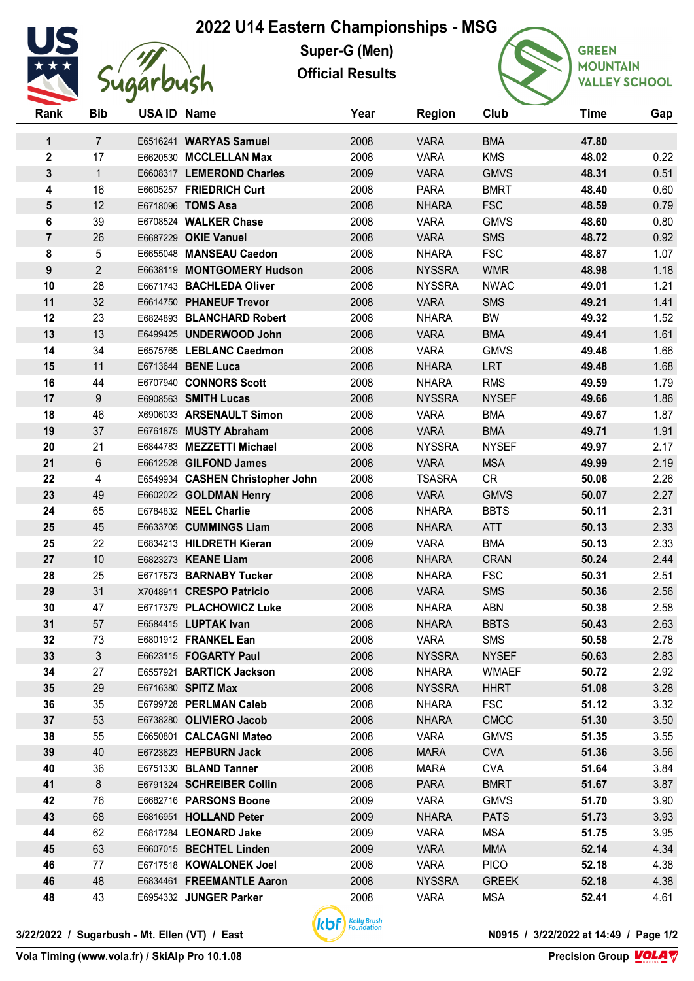## **2022 U14 Eastern Championships - MSG**



**Super-G (Men) Official Results**



**GREEN MOUNTAIN VALLEY SCHOOL** 

| Rank                    | <b>Bib</b>              | USA ID Name |                                  | Year | <b>Region</b> | Club         | Time  | Gap  |
|-------------------------|-------------------------|-------------|----------------------------------|------|---------------|--------------|-------|------|
| 1                       | $\overline{7}$          |             | E6516241 WARYAS Samuel           | 2008 | <b>VARA</b>   | <b>BMA</b>   | 47.80 |      |
| $\overline{\mathbf{c}}$ | 17                      |             | E6620530 MCCLELLAN Max           | 2008 | <b>VARA</b>   | <b>KMS</b>   | 48.02 | 0.22 |
| 3                       | $\mathbf{1}$            |             | E6608317 LEMEROND Charles        | 2009 | <b>VARA</b>   | <b>GMVS</b>  | 48.31 | 0.51 |
| 4                       | 16                      |             | E6605257 FRIEDRICH Curt          | 2008 | <b>PARA</b>   | <b>BMRT</b>  | 48.40 | 0.60 |
| 5                       | 12                      |             | E6718096 TOMS Asa                | 2008 | <b>NHARA</b>  | <b>FSC</b>   | 48.59 | 0.79 |
| 6                       | 39                      |             | E6708524 WALKER Chase            | 2008 | <b>VARA</b>   | <b>GMVS</b>  | 48.60 | 0.80 |
| 7                       | 26                      |             | E6687229 OKIE Vanuel             | 2008 | <b>VARA</b>   | <b>SMS</b>   | 48.72 | 0.92 |
| 8                       | 5                       |             | E6655048 MANSEAU Caedon          | 2008 | <b>NHARA</b>  | <b>FSC</b>   | 48.87 | 1.07 |
| 9                       | $\overline{2}$          |             | E6638119 MONTGOMERY Hudson       | 2008 | <b>NYSSRA</b> | <b>WMR</b>   | 48.98 | 1.18 |
| 10                      | 28                      |             | E6671743 BACHLEDA Oliver         | 2008 | <b>NYSSRA</b> | <b>NWAC</b>  | 49.01 | 1.21 |
| 11                      | 32                      |             | E6614750 PHANEUF Trevor          | 2008 | <b>VARA</b>   | <b>SMS</b>   | 49.21 | 1.41 |
| 12                      | 23                      |             | E6824893 BLANCHARD Robert        | 2008 | <b>NHARA</b>  | <b>BW</b>    | 49.32 | 1.52 |
| 13                      | 13                      |             | E6499425 UNDERWOOD John          | 2008 | <b>VARA</b>   | <b>BMA</b>   | 49.41 | 1.61 |
| 14                      | 34                      |             | E6575765 LEBLANC Caedmon         | 2008 | <b>VARA</b>   | <b>GMVS</b>  | 49.46 | 1.66 |
| 15                      | 11                      |             | E6713644 BENE Luca               | 2008 | <b>NHARA</b>  | <b>LRT</b>   | 49.48 | 1.68 |
| 16                      | 44                      |             | E6707940 CONNORS Scott           | 2008 | <b>NHARA</b>  | <b>RMS</b>   | 49.59 | 1.79 |
| 17                      | 9                       |             | E6908563 SMITH Lucas             | 2008 | <b>NYSSRA</b> | <b>NYSEF</b> | 49.66 | 1.86 |
| 18                      | 46                      |             | X6906033 ARSENAULT Simon         | 2008 | <b>VARA</b>   | <b>BMA</b>   | 49.67 | 1.87 |
| 19                      | 37                      |             | E6761875 MUSTY Abraham           | 2008 | <b>VARA</b>   | <b>BMA</b>   | 49.71 | 1.91 |
| 20                      | 21                      |             | E6844783 MEZZETTI Michael        | 2008 | <b>NYSSRA</b> | <b>NYSEF</b> | 49.97 | 2.17 |
| 21                      | $\,6\,$                 |             | E6612528 GILFOND James           | 2008 | <b>VARA</b>   | <b>MSA</b>   | 49.99 | 2.19 |
| 22                      | $\overline{\mathbf{4}}$ |             | E6549934 CASHEN Christopher John | 2008 | <b>TSASRA</b> | CR           | 50.06 | 2.26 |
| 23                      | 49                      |             | E6602022 GOLDMAN Henry           | 2008 | <b>VARA</b>   | <b>GMVS</b>  | 50.07 | 2.27 |
| 24                      | 65                      |             | E6784832 NEEL Charlie            | 2008 | <b>NHARA</b>  | <b>BBTS</b>  | 50.11 | 2.31 |
| 25                      | 45                      |             | E6633705 CUMMINGS Liam           | 2008 | <b>NHARA</b>  | <b>ATT</b>   | 50.13 | 2.33 |
| 25                      | 22                      |             | E6834213 HILDRETH Kieran         | 2009 | <b>VARA</b>   | <b>BMA</b>   | 50.13 | 2.33 |
| 27                      | 10                      |             | E6823273 KEANE Liam              | 2008 | <b>NHARA</b>  | <b>CRAN</b>  | 50.24 | 2.44 |
| 28                      | 25                      |             | E6717573 BARNABY Tucker          | 2008 | <b>NHARA</b>  | <b>FSC</b>   | 50.31 | 2.51 |
| 29                      | 31                      |             | X7048911 CRESPO Patricio         | 2008 | <b>VARA</b>   | SMS          | 50.36 | 2.56 |
| 30                      | 47                      |             | E6717379 PLACHOWICZ Luke         | 2008 | <b>NHARA</b>  | <b>ABN</b>   | 50.38 | 2.58 |
| 31                      | 57                      |             | E6584415 LUPTAK Ivan             | 2008 | <b>NHARA</b>  | <b>BBTS</b>  | 50.43 | 2.63 |
| 32                      | 73                      |             | E6801912 FRANKEL Ean             | 2008 | <b>VARA</b>   | <b>SMS</b>   | 50.58 | 2.78 |
| 33                      | 3                       |             | E6623115 FOGARTY Paul            | 2008 | <b>NYSSRA</b> | <b>NYSEF</b> | 50.63 | 2.83 |
| 34                      | 27                      |             | E6557921 BARTICK Jackson         | 2008 | <b>NHARA</b>  | <b>WMAEF</b> | 50.72 | 2.92 |
| 35                      | 29                      |             | E6716380 SPITZ Max               | 2008 | <b>NYSSRA</b> | <b>HHRT</b>  | 51.08 | 3.28 |
| 36                      | 35                      |             | E6799728 PERLMAN Caleb           | 2008 | <b>NHARA</b>  | <b>FSC</b>   | 51.12 | 3.32 |
| 37                      | 53                      |             | E6738280 OLIVIERO Jacob          | 2008 | <b>NHARA</b>  | <b>CMCC</b>  | 51.30 | 3.50 |
| 38                      | 55                      |             | E6650801 CALCAGNI Mateo          | 2008 | <b>VARA</b>   | <b>GMVS</b>  | 51.35 | 3.55 |
| 39                      | 40                      |             | E6723623 HEPBURN Jack            | 2008 | <b>MARA</b>   | <b>CVA</b>   | 51.36 | 3.56 |
| 40                      | 36                      |             | E6751330 BLAND Tanner            | 2008 | <b>MARA</b>   | <b>CVA</b>   | 51.64 | 3.84 |
| 41                      | 8                       |             | E6791324 SCHREIBER Collin        | 2008 | <b>PARA</b>   | <b>BMRT</b>  | 51.67 | 3.87 |
| 42                      | 76                      |             | E6682716 PARSONS Boone           | 2009 | <b>VARA</b>   | <b>GMVS</b>  | 51.70 | 3.90 |
| 43                      | 68                      |             | E6816951 HOLLAND Peter           | 2009 | <b>NHARA</b>  | <b>PATS</b>  | 51.73 | 3.93 |
| 44                      | 62                      |             | E6817284 LEONARD Jake            | 2009 | <b>VARA</b>   | <b>MSA</b>   | 51.75 | 3.95 |
| 45                      | 63                      |             | E6607015 BECHTEL Linden          | 2009 | <b>VARA</b>   | <b>MMA</b>   | 52.14 | 4.34 |
| 46                      | 77                      |             | E6717518 KOWALONEK Joel          | 2008 | <b>VARA</b>   | <b>PICO</b>  | 52.18 | 4.38 |
| 46                      | 48                      |             | E6834461 FREEMANTLE Aaron        | 2008 | <b>NYSSRA</b> | <b>GREEK</b> | 52.18 | 4.38 |
| 48                      | 43                      |             | E6954332 JUNGER Parker           | 2008 | <b>VARA</b>   | <b>MSA</b>   | 52.41 | 4.61 |
|                         |                         |             |                                  |      |               |              |       |      |